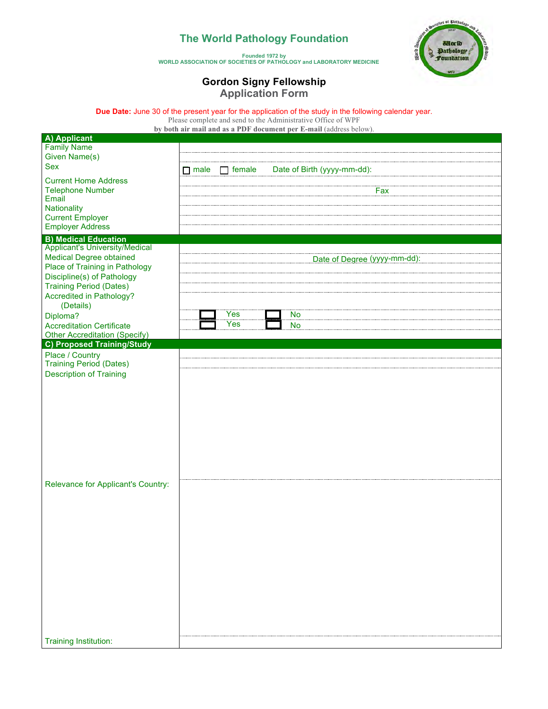## **The World Pathology Foundation**

tettes of Pathology ल्ला **Calorlo** Pathology

#### **Founded 1972 by WORLD ASSOCIATION OF SOCIETIES OF PATHOLOGY and LABORATORY MEDICINE**

### **Gordon Signy Fellowship Application Form**

**Due Date:** June 30 of the present year for the application of the study in the following calendar year.

Please complete and send to the Administrative Office of WPF **by both air mail and as a PDF document per E-mail** (address below).

| A) Applicant                          |                                                             |                              |
|---------------------------------------|-------------------------------------------------------------|------------------------------|
| <b>Family Name</b>                    |                                                             |                              |
| Given Name(s)                         |                                                             |                              |
| <b>Sex</b>                            | Date of Birth (yyyy-mm-dd):<br>$\Box$ male<br>$\Box$ female |                              |
| <b>Current Home Address</b>           |                                                             |                              |
| <b>Telephone Number</b>               |                                                             | Fax                          |
| Email                                 |                                                             |                              |
| Nationality                           |                                                             |                              |
| <b>Current Employer</b>               |                                                             |                              |
| <b>Employer Address</b>               |                                                             |                              |
| <b>B) Medical Education</b>           |                                                             |                              |
| <b>Applicant's University/Medical</b> |                                                             |                              |
| <b>Medical Degree obtained</b>        |                                                             | Date of Degree (yyyy-mm-dd): |
| Place of Training in Pathology        |                                                             |                              |
| Discipline(s) of Pathology            |                                                             |                              |
| <b>Training Period (Dates)</b>        |                                                             |                              |
| Accredited in Pathology?              |                                                             |                              |
| (Details)                             |                                                             |                              |
| Diploma?                              | Yes<br>No                                                   |                              |
| <b>Accreditation Certificate</b>      | Yes<br>No                                                   |                              |
| Other Accreditation (Specify)         |                                                             |                              |
| <b>C) Proposed Training/Study</b>     |                                                             |                              |
| Place / Country                       |                                                             |                              |
| <b>Training Period (Dates)</b>        |                                                             |                              |
| <b>Description of Training</b>        |                                                             |                              |
|                                       |                                                             |                              |
|                                       |                                                             |                              |
|                                       |                                                             |                              |
|                                       |                                                             |                              |
|                                       |                                                             |                              |
|                                       |                                                             |                              |
|                                       |                                                             |                              |
|                                       |                                                             |                              |
|                                       |                                                             |                              |
|                                       |                                                             |                              |
| Relevance for Applicant's Country:    |                                                             |                              |
|                                       |                                                             |                              |
|                                       |                                                             |                              |
|                                       |                                                             |                              |
|                                       |                                                             |                              |
|                                       |                                                             |                              |
|                                       |                                                             |                              |
|                                       |                                                             |                              |
|                                       |                                                             |                              |
|                                       |                                                             |                              |
|                                       |                                                             |                              |
|                                       |                                                             |                              |
|                                       |                                                             |                              |
|                                       |                                                             |                              |
|                                       |                                                             |                              |
|                                       |                                                             |                              |
| <b>Training Institution:</b>          |                                                             |                              |